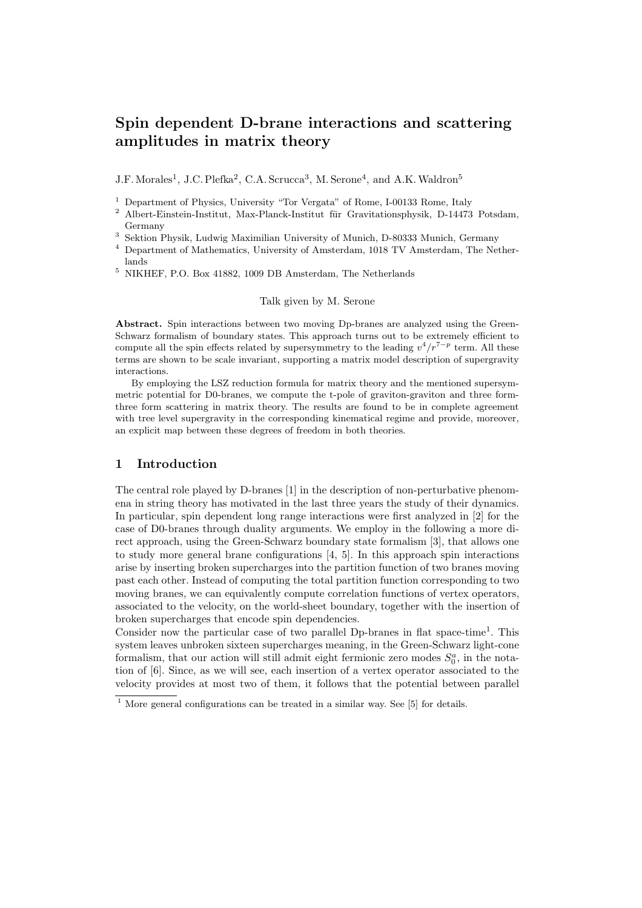# Spin dependent D-brane interactions and scattering amplitudes in matrix theory

 $J.F.$  Morales<sup>1</sup>, J.C. Plefka<sup>2</sup>, C.A. Scrucca<sup>3</sup>, M. Serone<sup>4</sup>, and A.K. Waldron<sup>5</sup>

<sup>1</sup> Department of Physics, University "Tor Vergata" of Rome, I-00133 Rome, Italy

 $2$  Albert-Einstein-Institut, Max-Planck-Institut für Gravitationsphysik, D-14473 Potsdam, Germany

<sup>3</sup> Sektion Physik, Ludwig Maximilian University of Munich, D-80333 Munich, Germany

<sup>4</sup> Department of Mathematics, University of Amsterdam, 1018 TV Amsterdam, The Netherlands

<sup>5</sup> NIKHEF, P.O. Box 41882, 1009 DB Amsterdam, The Netherlands

### Talk given by M. Serone

Abstract. Spin interactions between two moving Dp-branes are analyzed using the Green-Schwarz formalism of boundary states. This approach turns out to be extremely efficient to compute all the spin effects related by supersymmetry to the leading  $v^4/r^{7-p}$  term. All these terms are shown to be scale invariant, supporting a matrix model description of supergravity interactions.

By employing the LSZ reduction formula for matrix theory and the mentioned supersymmetric potential for D0-branes, we compute the t-pole of graviton-graviton and three formthree form scattering in matrix theory. The results are found to be in complete agreement with tree level supergravity in the corresponding kinematical regime and provide, moreover, an explicit map between these degrees of freedom in both theories.

## 1 Introduction

The central role played by D-branes [1] in the description of non-perturbative phenomena in string theory has motivated in the last three years the study of their dynamics. In particular, spin dependent long range interactions were first analyzed in [2] for the case of D0-branes through duality arguments. We employ in the following a more direct approach, using the Green-Schwarz boundary state formalism [3], that allows one to study more general brane configurations [4, 5]. In this approach spin interactions arise by inserting broken supercharges into the partition function of two branes moving past each other. Instead of computing the total partition function corresponding to two moving branes, we can equivalently compute correlation functions of vertex operators, associated to the velocity, on the world-sheet boundary, together with the insertion of broken supercharges that encode spin dependencies.

Consider now the particular case of two parallel Dp-branes in flat space-time<sup>1</sup>. This system leaves unbroken sixteen supercharges meaning, in the Green-Schwarz light-cone formalism, that our action will still admit eight fermionic zero modes  $S_0^a$ , in the notation of [6]. Since, as we will see, each insertion of a vertex operator associated to the velocity provides at most two of them, it follows that the potential between parallel

 $\frac{1}{1}$  More general configurations can be treated in a similar way. See [5] for details.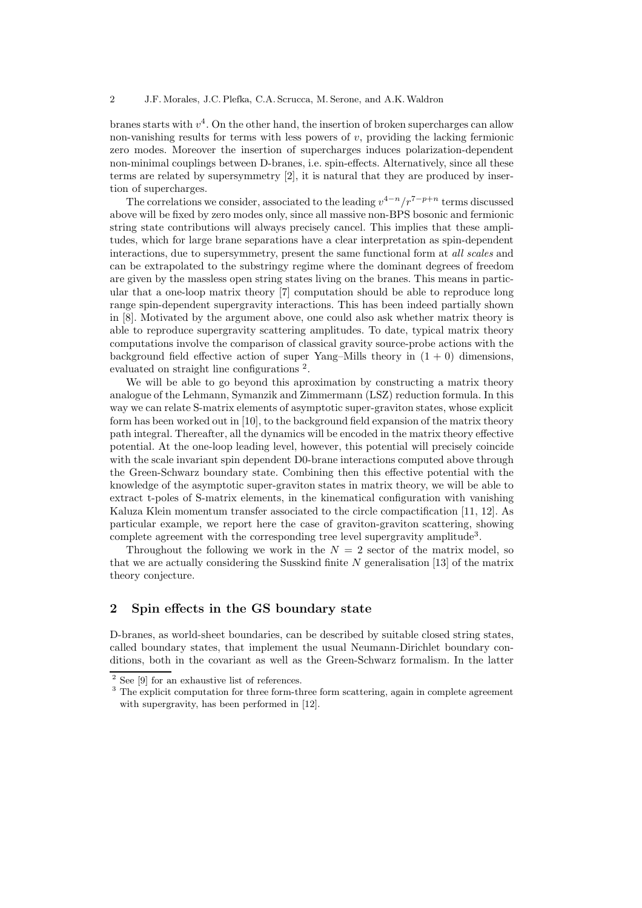branes starts with  $v^4$ . On the other hand, the insertion of broken supercharges can allow non-vanishing results for terms with less powers of  $v$ , providing the lacking fermionic zero modes. Moreover the insertion of supercharges induces polarization-dependent non-minimal couplings between D-branes, i.e. spin-effects. Alternatively, since all these terms are related by supersymmetry [2], it is natural that they are produced by insertion of supercharges.

The correlations we consider, associated to the leading  $v^{4-n}/r^{7-p+n}$  terms discussed above will be fixed by zero modes only, since all massive non-BPS bosonic and fermionic string state contributions will always precisely cancel. This implies that these amplitudes, which for large brane separations have a clear interpretation as spin-dependent interactions, due to supersymmetry, present the same functional form at all scales and can be extrapolated to the substringy regime where the dominant degrees of freedom are given by the massless open string states living on the branes. This means in particular that a one-loop matrix theory [7] computation should be able to reproduce long range spin-dependent supergravity interactions. This has been indeed partially shown in [8]. Motivated by the argument above, one could also ask whether matrix theory is able to reproduce supergravity scattering amplitudes. To date, typical matrix theory computations involve the comparison of classical gravity source-probe actions with the background field effective action of super Yang–Mills theory in  $(1 + 0)$  dimensions, evaluated on straight line configurations<sup>2</sup>.

We will be able to go beyond this aproximation by constructing a matrix theory analogue of the Lehmann, Symanzik and Zimmermann (LSZ) reduction formula. In this way we can relate S-matrix elements of asymptotic super-graviton states, whose explicit form has been worked out in [10], to the background field expansion of the matrix theory path integral. Thereafter, all the dynamics will be encoded in the matrix theory effective potential. At the one-loop leading level, however, this potential will precisely coincide with the scale invariant spin dependent D0-brane interactions computed above through the Green-Schwarz boundary state. Combining then this effective potential with the knowledge of the asymptotic super-graviton states in matrix theory, we will be able to extract t-poles of S-matrix elements, in the kinematical configuration with vanishing Kaluza Klein momentum transfer associated to the circle compactification [11, 12]. As particular example, we report here the case of graviton-graviton scattering, showing complete agreement with the corresponding tree level supergravity amplitude<sup>3</sup>.

Throughout the following we work in the  $N = 2$  sector of the matrix model, so that we are actually considering the Susskind finite  $N$  generalisation [13] of the matrix theory conjecture.

# 2 Spin effects in the GS boundary state

D-branes, as world-sheet boundaries, can be described by suitable closed string states, called boundary states, that implement the usual Neumann-Dirichlet boundary conditions, both in the covariant as well as the Green-Schwarz formalism. In the latter

<sup>&</sup>lt;sup>2</sup> See [9] for an exhaustive list of references.

<sup>&</sup>lt;sup>3</sup> The explicit computation for three form-three form scattering, again in complete agreement with supergravity, has been performed in [12].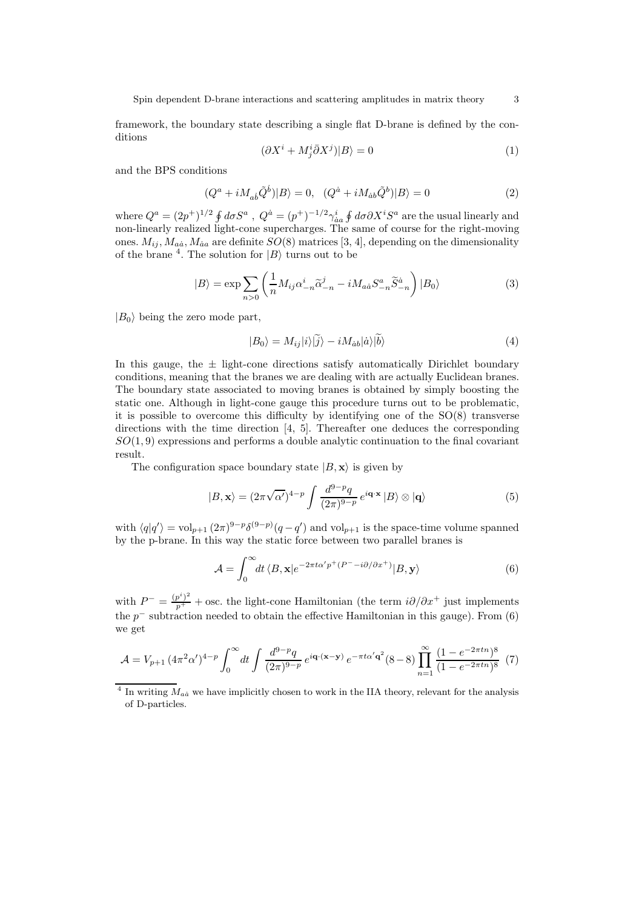framework, the boundary state describing a single flat D-brane is defined by the conditions

$$
(\partial X^i + M^i_j \bar{\partial} X^j)|B\rangle = 0\tag{1}
$$

and the BPS conditions

$$
(Q^{a} + iM_{ab}\tilde{Q}^{b})|B\rangle = 0, \quad (Q^{\dot{a}} + iM_{\dot{a}b}\tilde{Q}^{b})|B\rangle = 0
$$
\n(2)

where  $Q^a = (2p^+)^{1/2} \oint d\sigma S^a$ ,  $Q^{\dot{a}} = (p^+)^{-1/2} \gamma_{\dot{a}a}^i \oint d\sigma \partial X^i S^a$  are the usual linearly and non-linearly realized light-cone supercharges. The same of course for the right-moving ones.  $M_{ij}$ ,  $M_{aa}$ ,  $M_{aa}$  are definite  $SO(8)$  matrices [3, 4], depending on the dimensionality of the brane <sup>4</sup>. The solution for  $|B\rangle$  turns out to be

$$
|B\rangle = \exp\sum_{n>0} \left(\frac{1}{n} M_{ij} \alpha_{-n}^{i} \widetilde{\alpha}_{-n}^{j} - i M_{a\dot{a}} S_{-n}^{a} \widetilde{S}_{-n}^{\dot{a}}\right) |B_{0}\rangle
$$
(3)

 $|B_0\rangle$  being the zero mode part,

$$
|B_0\rangle = M_{ij}|i\rangle|\tilde{j}\rangle - iM_{\dot{a}b}|\dot{a}\rangle|\tilde{b}\rangle
$$
\n(4)

In this gauge, the  $\pm$  light-cone directions satisfy automatically Dirichlet boundary conditions, meaning that the branes we are dealing with are actually Euclidean branes. The boundary state associated to moving branes is obtained by simply boosting the static one. Although in light-cone gauge this procedure turns out to be problematic, it is possible to overcome this difficulty by identifying one of the SO(8) transverse directions with the time direction [4, 5]. Thereafter one deduces the corresponding  $SO(1,9)$  expressions and performs a double analytic continuation to the final covariant result.

The configuration space boundary state  $|B, \mathbf{x}\rangle$  is given by

$$
|B, \mathbf{x}\rangle = (2\pi\sqrt{\alpha'})^{4-p} \int \frac{d^{9-p}q}{(2\pi)^{9-p}} e^{i\mathbf{q}\cdot\mathbf{x}} |B\rangle \otimes |\mathbf{q}\rangle \tag{5}
$$

with  $\langle q|q'\rangle = \text{vol}_{p+1} (2\pi)^{9-p} \delta^{(9-p)}(q-q')$  and  $\text{vol}_{p+1}$  is the space-time volume spanned by the p-brane. In this way the static force between two parallel branes is

$$
\mathcal{A} = \int_0^\infty dt \, \langle B, \mathbf{x} | e^{-2\pi t \alpha' p^+ (P^- - i\partial/\partial x^+)} | B, \mathbf{y} \rangle \tag{6}
$$

with  $P^- = \frac{(p^i)^2}{p^+}$  + osc. the light-cone Hamiltonian (the term  $i\partial/\partial x^+$  just implements the  $p^-$  subtraction needed to obtain the effective Hamiltonian in this gauge). From (6) we get

$$
\mathcal{A} = V_{p+1} \left( 4\pi^2 \alpha' \right)^{4-p} \int_0^\infty dt \int \frac{d^{9-p}q}{(2\pi)^{9-p}} e^{i\mathbf{q} \cdot (\mathbf{x} - \mathbf{y})} e^{-\pi t \alpha' \mathbf{q}^2} (8-8) \prod_{n=1}^\infty \frac{(1 - e^{-2\pi t n})^8}{(1 - e^{-2\pi t n})^8} (7)
$$

<sup>&</sup>lt;sup>4</sup> In writing  $M_{a\dot{a}}$  we have implicitly chosen to work in the IIA theory, relevant for the analysis of D-particles.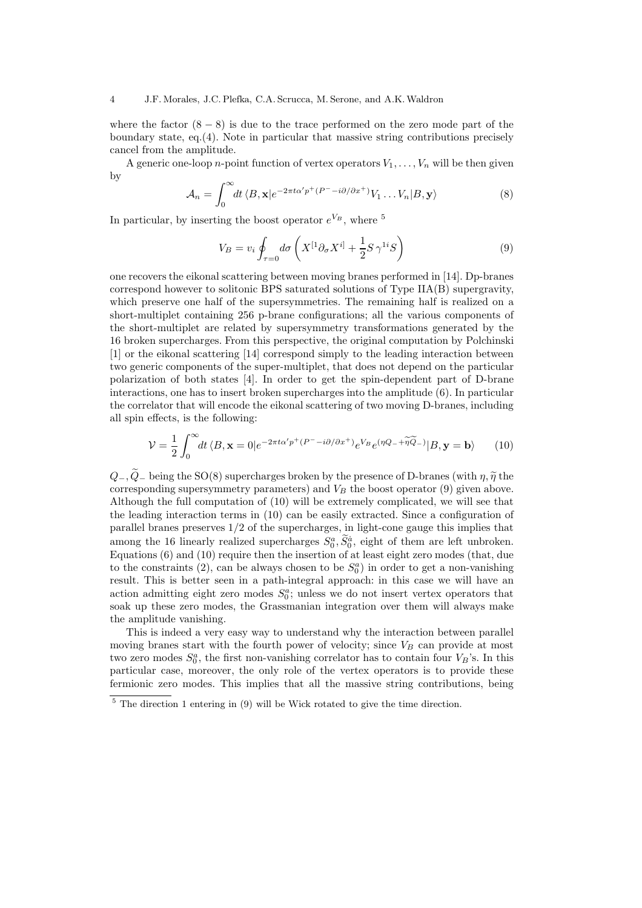where the factor  $(8 - 8)$  is due to the trace performed on the zero mode part of the boundary state, eq.(4). Note in particular that massive string contributions precisely cancel from the amplitude.

A generic one-loop *n*-point function of vertex operators  $V_1, \ldots, V_n$  will be then given by

$$
\mathcal{A}_n = \int_0^\infty dt \, \langle B, \mathbf{x} | e^{-2\pi t \alpha' p^+ (P^- - i\partial/\partial x^+)} V_1 \dots V_n | B, \mathbf{y} \rangle \tag{8}
$$

In particular, by inserting the boost operator  $e^{V_B}$ , where <sup>5</sup>

$$
V_B = v_i \oint_{\tau=0} d\sigma \left( X^{[1} \partial_\sigma X^{i]} + \frac{1}{2} S \gamma^{1i} S \right) \tag{9}
$$

one recovers the eikonal scattering between moving branes performed in [14]. Dp-branes correspond however to solitonic BPS saturated solutions of Type IIA(B) supergravity, which preserve one half of the supersymmetries. The remaining half is realized on a short-multiplet containing 256 p-brane configurations; all the various components of the short-multiplet are related by supersymmetry transformations generated by the 16 broken supercharges. From this perspective, the original computation by Polchinski [1] or the eikonal scattering [14] correspond simply to the leading interaction between two generic components of the super-multiplet, that does not depend on the particular polarization of both states [4]. In order to get the spin-dependent part of D-brane interactions, one has to insert broken supercharges into the amplitude (6). In particular the correlator that will encode the eikonal scattering of two moving D-branes, including all spin effects, is the following:

$$
\mathcal{V} = \frac{1}{2} \int_0^\infty dt \, \langle B, \mathbf{x} = 0 | e^{-2\pi t \alpha' p^+ (P^- - i\partial/\partial x^+)} e^{V_B} e^{(\eta Q_- + \widetilde{\eta Q}_-)} | B, \mathbf{y} = \mathbf{b} \rangle \tag{10}
$$

 $Q_-, \tilde{Q}_-$  being the SO(8) supercharges broken by the presence of D-branes (with  $\eta, \tilde{\eta}$  the corresponding supersymmetry parameters) and  $V_B$  the boost operator (9) given above. Although the full computation of (10) will be extremely complicated, we will see that the leading interaction terms in (10) can be easily extracted. Since a configuration of parallel branes preserves 1/2 of the supercharges, in light-cone gauge this implies that among the 16 linearly realized supercharges  $S_0^a$ ,  $S_0^a$ , eight of them are left unbroken. Equations (6) and (10) require then the insertion of at least eight zero modes (that, due to the constraints (2), can be always chosen to be  $S_0^a$ ) in order to get a non-vanishing result. This is better seen in a path-integral approach: in this case we will have an action admitting eight zero modes  $S_0^a$ ; unless we do not insert vertex operators that soak up these zero modes, the Grassmanian integration over them will always make the amplitude vanishing.

This is indeed a very easy way to understand why the interaction between parallel moving branes start with the fourth power of velocity; since  $V_B$  can provide at most two zero modes  $S_0^a$ , the first non-vanishing correlator has to contain four  $V_B$ 's. In this particular case, moreover, the only role of the vertex operators is to provide these fermionic zero modes. This implies that all the massive string contributions, being

 $5$  The direction 1 entering in (9) will be Wick rotated to give the time direction.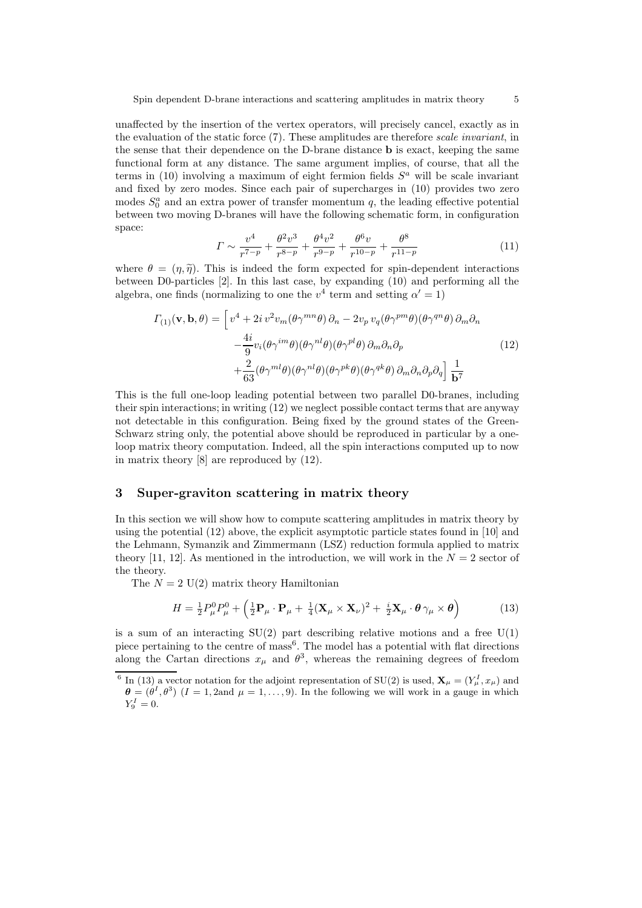unaffected by the insertion of the vertex operators, will precisely cancel, exactly as in the evaluation of the static force (7). These amplitudes are therefore scale invariant, in the sense that their dependence on the D-brane distance b is exact, keeping the same functional form at any distance. The same argument implies, of course, that all the terms in  $(10)$  involving a maximum of eight fermion fields  $S<sup>a</sup>$  will be scale invariant and fixed by zero modes. Since each pair of supercharges in (10) provides two zero modes  $S_0^a$  and an extra power of transfer momentum q, the leading effective potential between two moving D-branes will have the following schematic form, in configuration space:

$$
\Gamma \sim \frac{v^4}{r^{7-p}} + \frac{\theta^2 v^3}{r^{8-p}} + \frac{\theta^4 v^2}{r^{9-p}} + \frac{\theta^6 v}{r^{10-p}} + \frac{\theta^8}{r^{11-p}}
$$
(11)

where  $\theta = (n, \tilde{n})$ . This is indeed the form expected for spin-dependent interactions between D0-particles [2]. In this last case, by expanding (10) and performing all the algebra, one finds (normalizing to one the  $v^4$  term and setting  $\alpha' = 1$ )

$$
\Gamma_{(1)}(\mathbf{v}, \mathbf{b}, \theta) = \left[ v^4 + 2i v^2 v_m (\theta \gamma^{mn} \theta) \partial_n - 2v_p v_q (\theta \gamma^{pm} \theta) (\theta \gamma^{qn} \theta) \partial_m \partial_n \right. \left. - \frac{4i}{9} v_i (\theta \gamma^{im} \theta) (\theta \gamma^{nl} \theta) (\theta \gamma^{pl} \theta) \partial_m \partial_n \partial_p \right. \left. + \frac{2}{63} (\theta \gamma^{ml} \theta) (\theta \gamma^{nl} \theta) (\theta \gamma^{pk} \theta) (\theta \gamma^{qk} \theta) \partial_m \partial_n \partial_p \partial_q \right] \frac{1}{\mathbf{b}^7}
$$
\n(12)

This is the full one-loop leading potential between two parallel D0-branes, including their spin interactions; in writing (12) we neglect possible contact terms that are anyway not detectable in this configuration. Being fixed by the ground states of the Green-Schwarz string only, the potential above should be reproduced in particular by a oneloop matrix theory computation. Indeed, all the spin interactions computed up to now in matrix theory [8] are reproduced by (12).

## 3 Super-graviton scattering in matrix theory

In this section we will show how to compute scattering amplitudes in matrix theory by using the potential (12) above, the explicit asymptotic particle states found in [10] and the Lehmann, Symanzik and Zimmermann (LSZ) reduction formula applied to matrix theory [11, 12]. As mentioned in the introduction, we will work in the  $N = 2$  sector of the theory.

The  $N = 2$  U(2) matrix theory Hamiltonian

$$
H = \frac{1}{2}P_{\mu}^{0}P_{\mu}^{0} + \left(\frac{1}{2}\mathbf{P}_{\mu}\cdot\mathbf{P}_{\mu} + \frac{1}{4}(\mathbf{X}_{\mu}\times\mathbf{X}_{\nu})^{2} + \frac{i}{2}\mathbf{X}_{\mu}\cdot\boldsymbol{\theta}\gamma_{\mu}\times\boldsymbol{\theta}\right)
$$
(13)

is a sum of an interacting  $SU(2)$  part describing relative motions and a free  $U(1)$ piece pertaining to the centre of mass<sup>6</sup>. The model has a potential with flat directions along the Cartan directions  $x_{\mu}$  and  $\theta^3$ , whereas the remaining degrees of freedom

<sup>&</sup>lt;sup>6</sup> In (13) a vector notation for the adjoint representation of SU(2) is used,  $\mathbf{X}_{\mu} = (Y_{\mu}^{I}, x_{\mu})$  and  $\boldsymbol{\theta} = (\dot{\theta}^I, \theta^3)$   $(I = 1, 2$  and  $\mu = 1, \ldots, 9$ . In the following we will work in a gauge in which  $Y_9^I = 0.$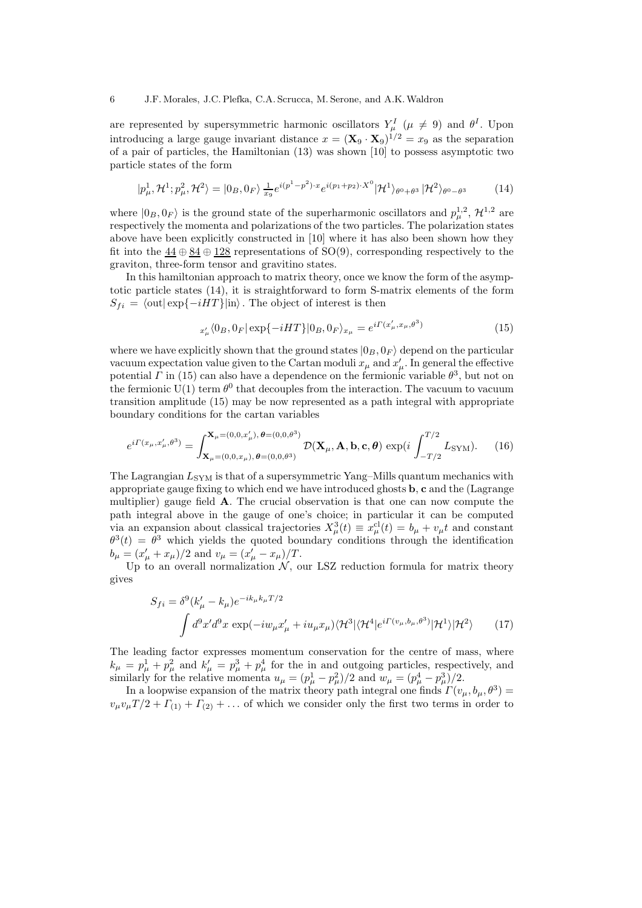#### 6 J.F. Morales, J.C. Plefka, C.A. Scrucca, M. Serone, and A.K.Waldron

are represented by supersymmetric harmonic oscillators  $Y^I_{\mu}$  ( $\mu \neq 9$ ) and  $\theta^I$ . Upon introducing a large gauge invariant distance  $x = (\mathbf{X}_9 \cdot \mathbf{X}_9)^{1/2} = x_9$  as the separation of a pair of particles, the Hamiltonian (13) was shown [10] to possess asymptotic two particle states of the form

$$
|p_{\mu}^{1}, \mathcal{H}^{1}; p_{\mu}^{2}, \mathcal{H}^{2} \rangle = |0_{B}, 0_{F} \rangle \frac{1}{x_{9}} e^{i(p_{1}^{1} - p_{2}^{2}) \cdot x} e^{i(p_{1} + p_{2}) \cdot X^{0}} |\mathcal{H}^{1} \rangle_{\theta^{0} + \theta^{3}} |\mathcal{H}^{2} \rangle_{\theta^{0} - \theta^{3}}
$$
(14)

where  $|0_B, 0_F\rangle$  is the ground state of the superharmonic oscillators and  $p_{\mu}^{1,2}$ ,  $\mathcal{H}^{1,2}$  are respectively the momenta and polarizations of the two particles. The polarization states above have been explicitly constructed in [10] where it has also been shown how they fit into the  $44 \oplus 84 \oplus 128$  representations of SO(9), corresponding respectively to the graviton, three-form tensor and gravitino states.

In this hamiltonian approach to matrix theory, once we know the form of the asymptotic particle states (14), it is straightforward to form S-matrix elements of the form  $S_{fi} = \langle 0 \text{ut} | \exp\{-iHT\} | \text{in} \rangle$ . The object of interest is then

$$
{}_{x'_{\mu}}\langle 0_B, 0_F | \exp\{-iHT\} | 0_B, 0_F \rangle_{x_{\mu}} = e^{i\Gamma(x'_{\mu}, x_{\mu}, \theta^3)} \tag{15}
$$

where we have explicitly shown that the ground states  $|0_B, 0_F\rangle$  depend on the particular vacuum expectation value given to the Cartan moduli  $x_{\mu}$  and  $x'_{\mu}$ . In general the effective potential  $\Gamma$  in (15) can also have a dependence on the fermionic variable  $\theta^3$ , but not on the fermionic  $U(1)$  term  $\theta^0$  that decouples from the interaction. The vacuum to vacuum transition amplitude (15) may be now represented as a path integral with appropriate boundary conditions for the cartan variables

$$
e^{i\Gamma(x_{\mu},x'_{\mu},\theta^3)} = \int_{\mathbf{X}_{\mu}=(0,0,x_{\mu}),\,\theta=(0,0,\theta^3)}^{\mathbf{X}_{\mu}=(0,0,x'_{\mu}),\,\theta=(0,0,\theta^3)} \mathcal{D}(\mathbf{X}_{\mu},\mathbf{A},\mathbf{b},\mathbf{c},\theta) \exp(i\int_{-T/2}^{T/2} L_{\text{SYM}}). \tag{16}
$$

The Lagrangian  $L_{\text{SYM}}$  is that of a supersymmetric Yang–Mills quantum mechanics with appropriate gauge fixing to which end we have introduced ghosts b, c and the (Lagrange multiplier) gauge field A. The crucial observation is that one can now compute the path integral above in the gauge of one's choice; in particular it can be computed via an expansion about classical trajectories  $X^3_\mu(t) \equiv x^{\text{cl}}_\mu(t) = b_\mu + v_\mu t$  and constant  $\theta^3(t) = \theta^3$  which yields the quoted boundary conditions through the identification  $b_{\mu} = (x'_{\mu} + x_{\mu})/2$  and  $v_{\mu} = (x'_{\mu} - x_{\mu})/T$ .

Up to an overall normalization  $N$ , our LSZ reduction formula for matrix theory gives

$$
S_{fi} = \delta^9(k'_{\mu} - k_{\mu})e^{-ik_{\mu}k_{\mu}T/2}
$$

$$
\int d^9x'd^9x \exp(-iw_{\mu}x'_{\mu} + iu_{\mu}x_{\mu})\langle \mathcal{H}^3|\langle \mathcal{H}^4|e^{i\Gamma(v_{\mu},b_{\mu},\theta^3)}|\mathcal{H}^1\rangle|\mathcal{H}^2\rangle \qquad (17)
$$

The leading factor expresses momentum conservation for the centre of mass, where  $k_{\mu} = p_{\mu}^1 + p_{\mu}^2$  and  $k'_{\mu} = p_{\mu}^3 + p_{\mu}^4$  for the in and outgoing particles, respectively, and similarly for the relative momenta  $u_{\mu} = (p_{\mu}^1 - p_{\mu}^2)/2$  and  $w_{\mu} = (p_{\mu}^4 - p_{\mu}^3)/2$ .

In a loopwise expansion of the matrix theory path integral one finds  $\Gamma(v_\mu, b_\mu, \theta^3) =$  $v_{\mu}v_{\mu}T/2 + \Gamma_{(1)} + \Gamma_{(2)} + \ldots$  of which we consider only the first two terms in order to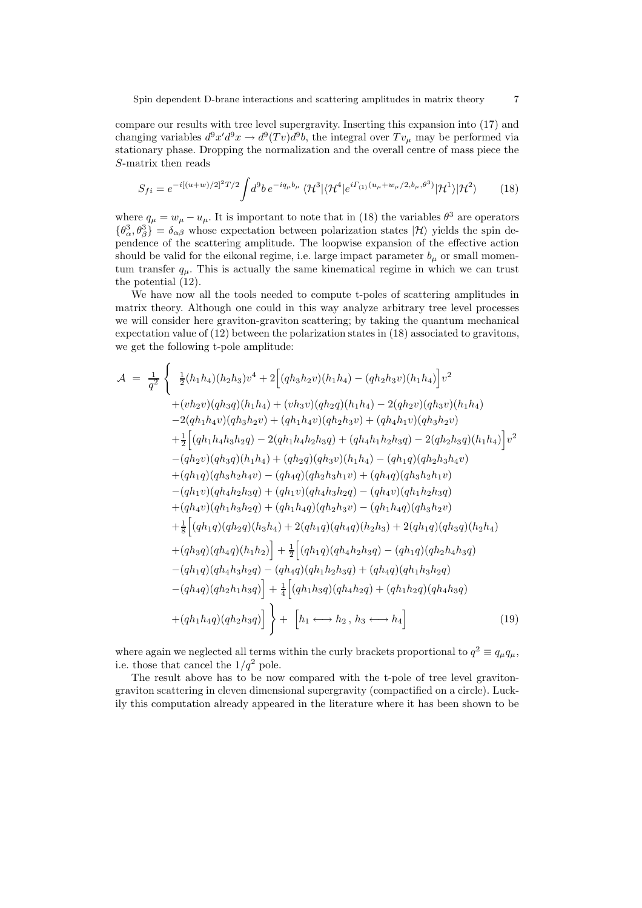compare our results with tree level supergravity. Inserting this expansion into (17) and changing variables  $d^9x'd^9x \to d^9(Tv)d^9b$ , the integral over  $Tv_\mu$  may be performed via stationary phase. Dropping the normalization and the overall centre of mass piece the S-matrix then reads

$$
S_{fi} = e^{-i[(u+w)/2]^2 T/2} \int d^9 b \, e^{-i q_\mu b_\mu} \, \langle \mathcal{H}^3 | \langle \mathcal{H}^4 | e^{i \Gamma_{(1)} (u_\mu + w_\mu/2, b_\mu, \theta^3)} | \mathcal{H}^1 \rangle | \mathcal{H}^2 \rangle \tag{18}
$$

where  $q_{\mu} = w_{\mu} - u_{\mu}$ . It is important to note that in (18) the variables  $\theta^3$  are operators  $\{\theta_{\alpha}^3, \theta_{\beta}^3\} = \delta_{\alpha\beta}$  whose expectation between polarization states  $|\mathcal{H}\rangle$  yields the spin dependence of the scattering amplitude. The loopwise expansion of the effective action should be valid for the eikonal regime, i.e. large impact parameter  $b_{\mu}$  or small momentum transfer  $q_{\mu}$ . This is actually the same kinematical regime in which we can trust the potential (12).

We have now all the tools needed to compute t-poles of scattering amplitudes in matrix theory. Although one could in this way analyze arbitrary tree level processes we will consider here graviton-graviton scattering; by taking the quantum mechanical expectation value of (12) between the polarization states in (18) associated to gravitons, we get the following t-pole amplitude:

$$
\mathcal{A} = \frac{1}{q^2} \left\{ \frac{1}{2}(h_1h_4)(h_2h_3)v^4 + 2\left[(qh_3h_2v)(h_1h_4) - (qh_2h_3v)(h_1h_4)\right]v^2 \right. \n+ (vh_2v)(qh_3q)(h_1h_4) + (vh_3v)(qh_2q)(h_1h_4) - 2(qh_2v)(qh_3v)(h_1h_4) \n- 2(qh_1h_4v)(qh_3h_2v) + (qh_1h_4v)(qh_2h_3v) + (qh_4h_1v)(qh_3h_2v) \n+ \frac{1}{2}\left[ (qh_1h_4h_3h_2q) - 2(qh_1h_4h_2h_3q) + (qh_4h_1h_2h_3q) - 2(qh_2h_3q)(h_1h_4) \right]v^2 \n- (qh_2v)(qh_3q)(h_1h_4) + (qh_2q)(qh_3v)(h_1h_4) - (qh_1q)(qh_2h_3h_4v) \n+ (qh_1q)(qh_3h_2h_4v) - (qh_4q)(qh_2h_3h_1v) + (qh_4q)(qh_3h_2h_1v) \n- (qh_1v)(qh_4h_2h_3q) + (qh_1v)(qh_4h_3h_2q) - (qh_4v)(qh_1h_2h_3q) \n+ (qh_4v)(qh_1h_3h_2q) + (qh_1v)(qh_4h_3h_2q) - (qh_1h_4q)(qh_3h_2v) \n+ \frac{1}{8}\left[ (qh_1q)(qh_2q)(h_3h_4) + 2(qh_1q)(qh_4h_4q)(h_2h_3) + 2(qh_1q)(qh_3q)(h_2h_4) \n+ (qh_3q)(qh_4h_3h_2q) - (qh_4q)(qh_1h_2h_3q) - (qh_1q)(qh_2h_4h_3q) \n- (qh_1q)(qh_4h_3h_2q) - (qh_4q)(qh_1h_2h_3q) + (qh_4q)(qh_1h_3h_2q) \n- (qh_4q)(qh_2h_1h_3q)\right] + \frac{1}{4}\
$$

where again we neglected all terms within the curly brackets proportional to  $q^2 \equiv q_\mu q_\mu$ , i.e. those that cancel the  $1/q^2$  pole.

The result above has to be now compared with the t-pole of tree level gravitongraviton scattering in eleven dimensional supergravity (compactified on a circle). Luckily this computation already appeared in the literature where it has been shown to be